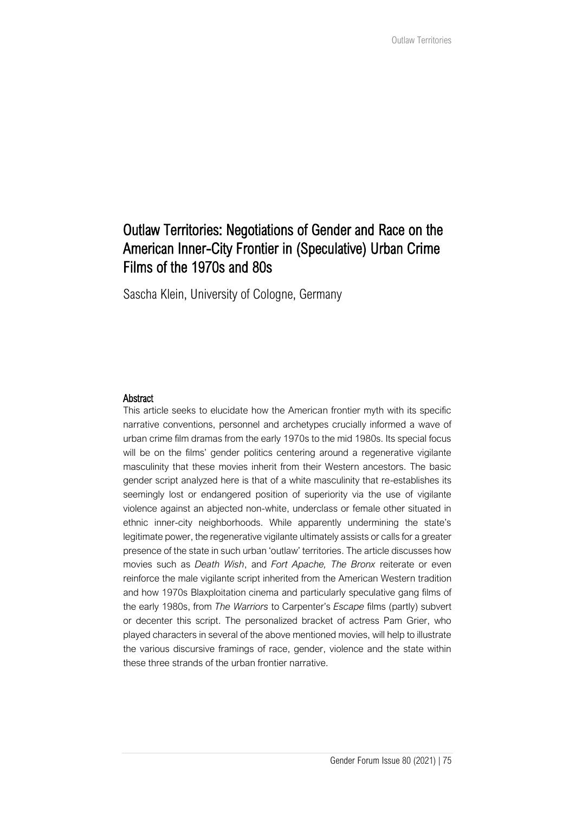# Outlaw Territories: Negotiations of Gender and Race on the American Inner-City Frontier in (Speculative) Urban Crime Films of the 1970s and 80s

Sascha Klein, University of Cologne, Germany

#### Abstract

This article seeks to elucidate how the American frontier myth with its specific narrative conventions, personnel and archetypes crucially informed a wave of urban crime film dramas from the early 1970s to the mid 1980s. Its special focus will be on the films' gender politics centering around a regenerative vigilante masculinity that these movies inherit from their Western ancestors. The basic gender script analyzed here is that of a white masculinity that re-establishes its seemingly lost or endangered position of superiority via the use of vigilante violence against an abjected non-white, underclass or female other situated in ethnic inner-city neighborhoods. While apparently undermining the state's legitimate power, the regenerative vigilante ultimately assists or calls for a greater presence of the state in such urban 'outlaw' territories. The article discusses how movies such as *Death Wish*, and *Fort Apache, The Bronx* reiterate or even reinforce the male vigilante script inherited from the American Western tradition and how 1970s Blaxploitation cinema and particularly speculative gang films of the early 1980s, from *The Warriors* to Carpenter's *Escape* films (partly) subvert or decenter this script. The personalized bracket of actress Pam Grier, who played characters in several of the above mentioned movies, will help to illustrate the various discursive framings of race, gender, violence and the state within these three strands of the urban frontier narrative.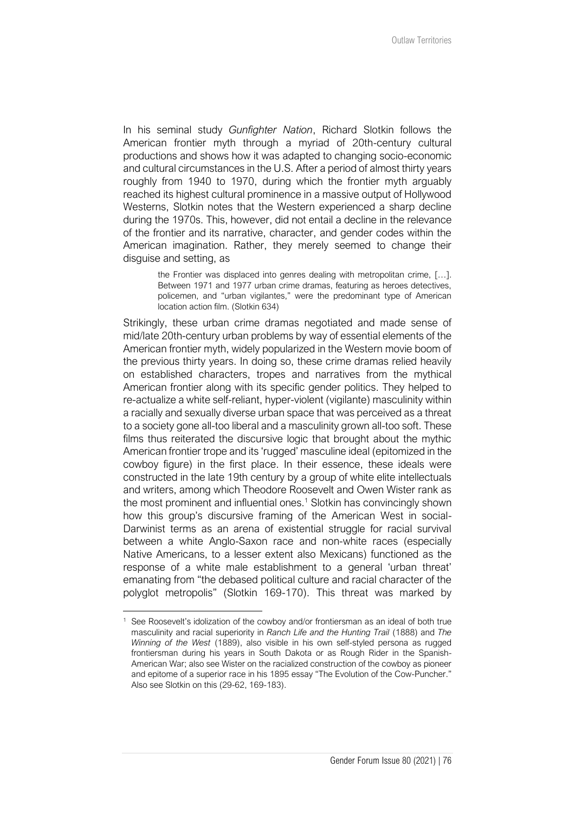In his seminal study *Gunfighter Nation*, Richard Slotkin follows the American frontier myth through a myriad of 20th-century cultural productions and shows how it was adapted to changing socio-economic and cultural circumstances in the U.S. After a period of almost thirty years roughly from 1940 to 1970, during which the frontier myth arguably reached its highest cultural prominence in a massive output of Hollywood Westerns, Slotkin notes that the Western experienced a sharp decline during the 1970s. This, however, did not entail a decline in the relevance of the frontier and its narrative, character, and gender codes within the American imagination. Rather, they merely seemed to change their disguise and setting, as

> the Frontier was displaced into genres dealing with metropolitan crime, […]. Between 1971 and 1977 urban crime dramas, featuring as heroes detectives, policemen, and "urban vigilantes," were the predominant type of American location action film. (Slotkin 634)

Strikingly, these urban crime dramas negotiated and made sense of mid/late 20th-century urban problems by way of essential elements of the American frontier myth, widely popularized in the Western movie boom of the previous thirty years. In doing so, these crime dramas relied heavily on established characters, tropes and narratives from the mythical American frontier along with its specific gender politics. They helped to re-actualize a white self-reliant, hyper-violent (vigilante) masculinity within a racially and sexually diverse urban space that was perceived as a threat to a society gone all-too liberal and a masculinity grown all-too soft. These films thus reiterated the discursive logic that brought about the mythic American frontier trope and its 'rugged' masculine ideal (epitomized in the cowboy figure) in the first place. In their essence, these ideals were constructed in the late 19th century by a group of white elite intellectuals and writers, among which Theodore Roosevelt and Owen Wister rank as the most prominent and influential ones.<sup>1</sup> Slotkin has convincingly shown how this group's discursive framing of the American West in social-Darwinist terms as an arena of existential struggle for racial survival between a white Anglo-Saxon race and non-white races (especially Native Americans, to a lesser extent also Mexicans) functioned as the response of a white male establishment to a general 'urban threat' emanating from "the debased political culture and racial character of the polyglot metropolis" (Slotkin 169-170). This threat was marked by

<sup>&</sup>lt;sup>1</sup> See Roosevelt's idolization of the cowboy and/or frontiersman as an ideal of both true masculinity and racial superiority in *Ranch Life and the Hunting Trail* (1888) and *The Winning of the West* (1889), also visible in his own self-styled persona as rugged frontiersman during his years in South Dakota or as Rough Rider in the Spanish-American War; also see Wister on the racialized construction of the cowboy as pioneer and epitome of a superior race in his 1895 essay "The Evolution of the Cow-Puncher." Also see Slotkin on this (29-62, 169-183).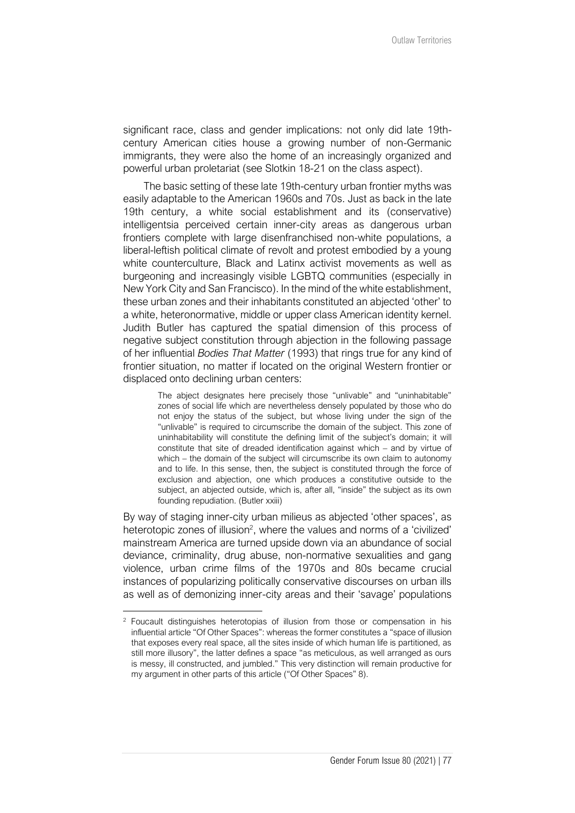significant race, class and gender implications: not only did late 19thcentury American cities house a growing number of non-Germanic immigrants, they were also the home of an increasingly organized and powerful urban proletariat (see Slotkin 18-21 on the class aspect).

The basic setting of these late 19th-century urban frontier myths was easily adaptable to the American 1960s and 70s. Just as back in the late 19th century, a white social establishment and its (conservative) intelligentsia perceived certain inner-city areas as dangerous urban frontiers complete with large disenfranchised non-white populations, a liberal-leftish political climate of revolt and protest embodied by a young white counterculture, Black and Latinx activist movements as well as burgeoning and increasingly visible LGBTQ communities (especially in New York City and San Francisco). In the mind of the white establishment, these urban zones and their inhabitants constituted an abjected 'other' to a white, heteronormative, middle or upper class American identity kernel. Judith Butler has captured the spatial dimension of this process of negative subject constitution through abjection in the following passage of her influential *Bodies That Matter* (1993) that rings true for any kind of frontier situation, no matter if located on the original Western frontier or displaced onto declining urban centers:

> The abject designates here precisely those "unlivable" and "uninhabitable" zones of social life which are nevertheless densely populated by those who do not enjoy the status of the subject, but whose living under the sign of the "unlivable" is required to circumscribe the domain of the subject. This zone of uninhabitability will constitute the defining limit of the subject's domain; it will constitute that site of dreaded identification against which – and by virtue of which – the domain of the subject will circumscribe its own claim to autonomy and to life. In this sense, then, the subject is constituted through the force of exclusion and abjection, one which produces a constitutive outside to the subject, an abjected outside, which is, after all, "inside" the subject as its own founding repudiation. (Butler xxiii)

By way of staging inner-city urban milieus as abjected 'other spaces', as heterotopic zones of illusion<sup>2</sup>, where the values and norms of a 'civilized' mainstream America are turned upside down via an abundance of social deviance, criminality, drug abuse, non-normative sexualities and gang violence, urban crime films of the 1970s and 80s became crucial instances of popularizing politically conservative discourses on urban ills as well as of demonizing inner-city areas and their 'savage' populations

<sup>&</sup>lt;sup>2</sup> Foucault distinguishes heterotopias of illusion from those or compensation in his influential article "Of Other Spaces": whereas the former constitutes a "space of illusion that exposes every real space, all the sites inside of which human life is partitioned, as still more illusory", the latter defines a space "as meticulous, as well arranged as ours is messy, ill constructed, and jumbled." This very distinction will remain productive for my argument in other parts of this article ("Of Other Spaces" 8).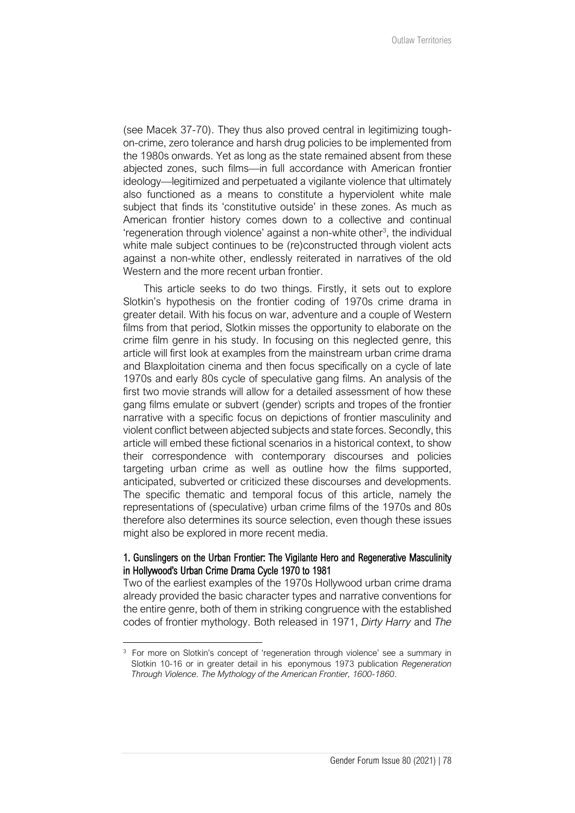(see Macek 37-70). They thus also proved central in legitimizing toughon-crime, zero tolerance and harsh drug policies to be implemented from the 1980s onwards. Yet as long as the state remained absent from these abjected zones, such films—in full accordance with American frontier ideology—legitimized and perpetuated a vigilante violence that ultimately also functioned as a means to constitute a hyperviolent white male subject that finds its 'constitutive outside' in these zones. As much as American frontier history comes down to a collective and continual 'regeneration through violence' against a non-white other<sup>3</sup>, the individual white male subject continues to be (re)constructed through violent acts against a non-white other, endlessly reiterated in narratives of the old Western and the more recent urban frontier.

This article seeks to do two things. Firstly, it sets out to explore Slotkin's hypothesis on the frontier coding of 1970s crime drama in greater detail. With his focus on war, adventure and a couple of Western films from that period, Slotkin misses the opportunity to elaborate on the crime film genre in his study. In focusing on this neglected genre, this article will first look at examples from the mainstream urban crime drama and Blaxploitation cinema and then focus specifically on a cycle of late 1970s and early 80s cycle of speculative gang films. An analysis of the first two movie strands will allow for a detailed assessment of how these gang films emulate or subvert (gender) scripts and tropes of the frontier narrative with a specific focus on depictions of frontier masculinity and violent conflict between abjected subjects and state forces. Secondly, this article will embed these fictional scenarios in a historical context, to show their correspondence with contemporary discourses and policies targeting urban crime as well as outline how the films supported, anticipated, subverted or criticized these discourses and developments. The specific thematic and temporal focus of this article, namely the representations of (speculative) urban crime films of the 1970s and 80s therefore also determines its source selection, even though these issues might also be explored in more recent media.

#### 1. Gunslingers on the Urban Frontier: The Vigilante Hero and Regenerative Masculinity in Hollywood's Urban Crime Drama Cycle 1970 to 1981

Two of the earliest examples of the 1970s Hollywood urban crime drama already provided the basic character types and narrative conventions for the entire genre, both of them in striking congruence with the established codes of frontier mythology. Both released in 1971, *Dirty Harry* and *The* 

<sup>&</sup>lt;sup>3</sup> For more on Slotkin's concept of 'regeneration through violence' see a summary in Slotkin 10-16 or in greater detail in his eponymous 1973 publication *Regeneration Through Violence. The Mythology of the American Frontier, 1600-1860*.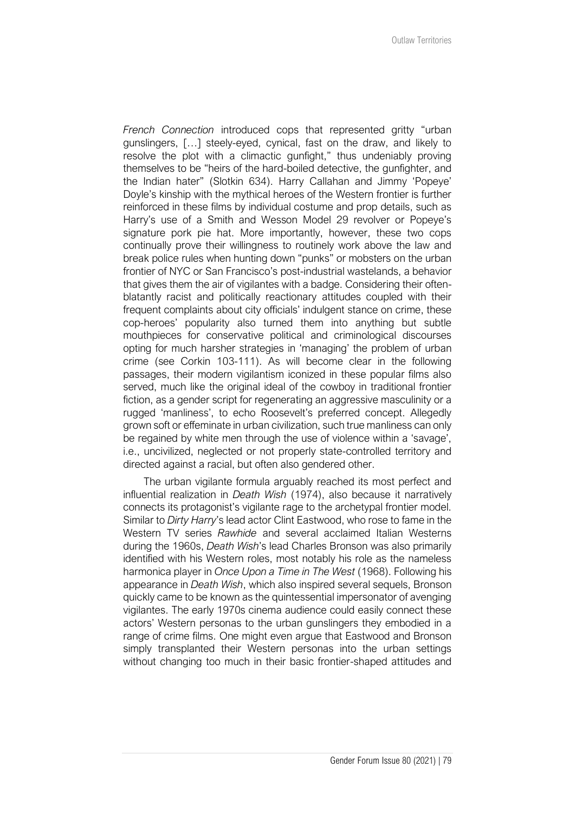*French Connection* introduced cops that represented gritty "urban gunslingers, […] steely-eyed, cynical, fast on the draw, and likely to resolve the plot with a climactic gunfight," thus undeniably proving themselves to be "heirs of the hard-boiled detective, the gunfighter, and the Indian hater" (Slotkin 634). Harry Callahan and Jimmy 'Popeye' Doyle's kinship with the mythical heroes of the Western frontier is further reinforced in these films by individual costume and prop details, such as Harry's use of a Smith and Wesson Model 29 revolver or Popeye's signature pork pie hat. More importantly, however, these two cops continually prove their willingness to routinely work above the law and break police rules when hunting down "punks" or mobsters on the urban frontier of NYC or San Francisco's post-industrial wastelands, a behavior that gives them the air of vigilantes with a badge. Considering their oftenblatantly racist and politically reactionary attitudes coupled with their frequent complaints about city officials' indulgent stance on crime, these cop-heroes' popularity also turned them into anything but subtle mouthpieces for conservative political and criminological discourses opting for much harsher strategies in 'managing' the problem of urban crime (see Corkin 103-111). As will become clear in the following passages, their modern vigilantism iconized in these popular films also served, much like the original ideal of the cowboy in traditional frontier fiction, as a gender script for regenerating an aggressive masculinity or a rugged 'manliness', to echo Roosevelt's preferred concept. Allegedly grown soft or effeminate in urban civilization, such true manliness can only be regained by white men through the use of violence within a 'savage', i.e., uncivilized, neglected or not properly state-controlled territory and directed against a racial, but often also gendered other.

The urban vigilante formula arguably reached its most perfect and influential realization in *Death Wish* (1974), also because it narratively connects its protagonist's vigilante rage to the archetypal frontier model. Similar to *Dirty Harry*'s lead actor Clint Eastwood, who rose to fame in the Western TV series *Rawhide* and several acclaimed Italian Westerns during the 1960s, *Death Wish*'s lead Charles Bronson was also primarily identified with his Western roles, most notably his role as the nameless harmonica player in *Once Upon a Time in The West* (1968). Following his appearance in *Death Wish*, which also inspired several sequels, Bronson quickly came to be known as the quintessential impersonator of avenging vigilantes. The early 1970s cinema audience could easily connect these actors' Western personas to the urban gunslingers they embodied in a range of crime films. One might even argue that Eastwood and Bronson simply transplanted their Western personas into the urban settings without changing too much in their basic frontier-shaped attitudes and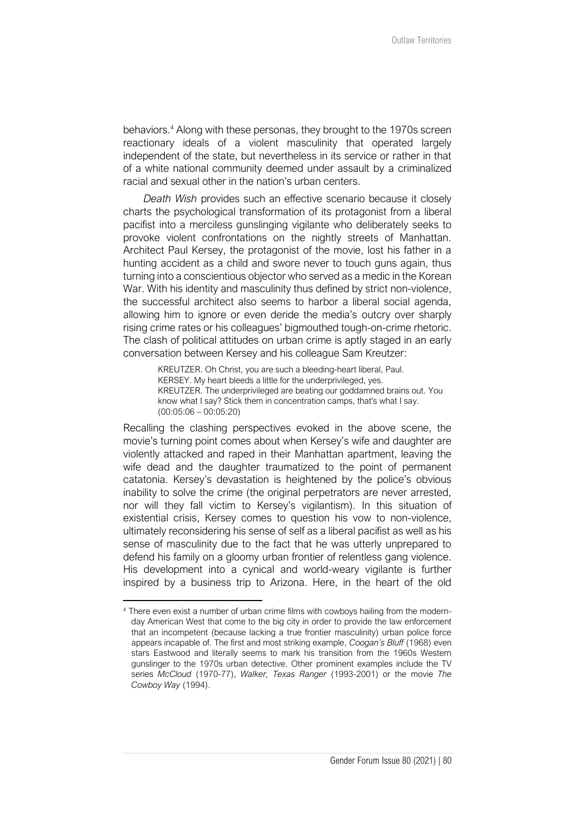behaviors.<sup>4</sup> Along with these personas, they brought to the 1970s screen reactionary ideals of a violent masculinity that operated largely independent of the state, but nevertheless in its service or rather in that of a white national community deemed under assault by a criminalized racial and sexual other in the nation's urban centers.

*Death Wish* provides such an effective scenario because it closely charts the psychological transformation of its protagonist from a liberal pacifist into a merciless gunslinging vigilante who deliberately seeks to provoke violent confrontations on the nightly streets of Manhattan. Architect Paul Kersey, the protagonist of the movie, lost his father in a hunting accident as a child and swore never to touch guns again, thus turning into a conscientious objector who served as a medic in the Korean War. With his identity and masculinity thus defined by strict non-violence, the successful architect also seems to harbor a liberal social agenda, allowing him to ignore or even deride the media's outcry over sharply rising crime rates or his colleagues' bigmouthed tough-on-crime rhetoric. The clash of political attitudes on urban crime is aptly staged in an early conversation between Kersey and his colleague Sam Kreutzer:

> KREUTZER. Oh Christ, you are such a bleeding-heart liberal, Paul. KERSEY. My heart bleeds a little for the underprivileged, yes. KREUTZER. The underprivileged are beating our goddamned brains out. You know what I say? Stick them in concentration camps, that's what I say. (00:05:06 – 00:05:20)

Recalling the clashing perspectives evoked in the above scene, the movie's turning point comes about when Kersey's wife and daughter are violently attacked and raped in their Manhattan apartment, leaving the wife dead and the daughter traumatized to the point of permanent catatonia. Kersey's devastation is heightened by the police's obvious inability to solve the crime (the original perpetrators are never arrested, nor will they fall victim to Kersey's vigilantism). In this situation of existential crisis, Kersey comes to question his vow to non-violence, ultimately reconsidering his sense of self as a liberal pacifist as well as his sense of masculinity due to the fact that he was utterly unprepared to defend his family on a gloomy urban frontier of relentless gang violence. His development into a cynical and world-weary vigilante is further inspired by a business trip to Arizona. Here, in the heart of the old

<sup>4</sup> There even exist a number of urban crime films with cowboys hailing from the modernday American West that come to the big city in order to provide the law enforcement that an incompetent (because lacking a true frontier masculinity) urban police force appears incapable of. The first and most striking example, *Coogan's Bluff* (1968) even stars Eastwood and literally seems to mark his transition from the 1960s Western gunslinger to the 1970s urban detective. Other prominent examples include the TV series *McCloud* (1970-77), *Walker, Texas Ranger* (1993-2001) or the movie *The Cowboy Way* (1994).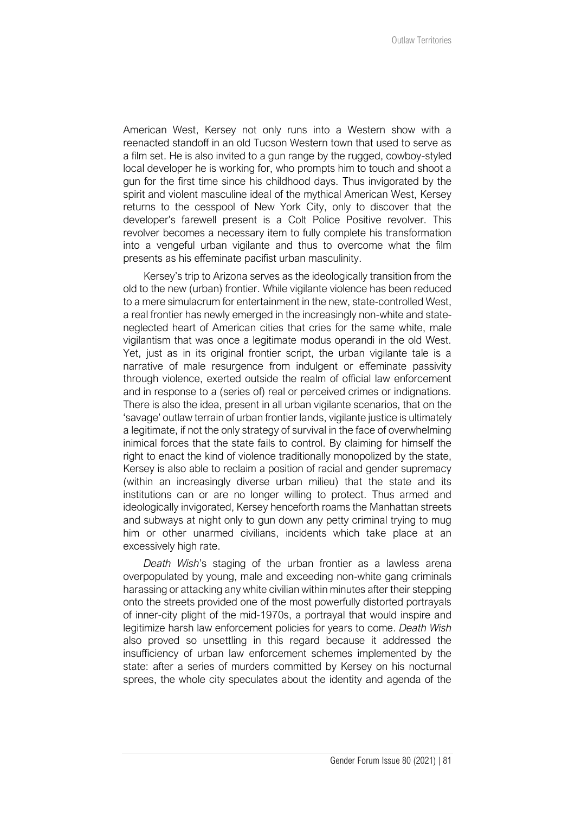American West, Kersey not only runs into a Western show with a reenacted standoff in an old Tucson Western town that used to serve as a film set. He is also invited to a gun range by the rugged, cowboy-styled local developer he is working for, who prompts him to touch and shoot a gun for the first time since his childhood days. Thus invigorated by the spirit and violent masculine ideal of the mythical American West, Kersey returns to the cesspool of New York City, only to discover that the developer's farewell present is a Colt Police Positive revolver. This revolver becomes a necessary item to fully complete his transformation into a vengeful urban vigilante and thus to overcome what the film presents as his effeminate pacifist urban masculinity.

Kersey's trip to Arizona serves as the ideologically transition from the old to the new (urban) frontier. While vigilante violence has been reduced to a mere simulacrum for entertainment in the new, state-controlled West, a real frontier has newly emerged in the increasingly non-white and stateneglected heart of American cities that cries for the same white, male vigilantism that was once a legitimate modus operandi in the old West. Yet, just as in its original frontier script, the urban vigilante tale is a narrative of male resurgence from indulgent or effeminate passivity through violence, exerted outside the realm of official law enforcement and in response to a (series of) real or perceived crimes or indignations. There is also the idea, present in all urban vigilante scenarios, that on the 'savage' outlaw terrain of urban frontier lands, vigilante justice is ultimately a legitimate, if not the only strategy of survival in the face of overwhelming inimical forces that the state fails to control. By claiming for himself the right to enact the kind of violence traditionally monopolized by the state, Kersey is also able to reclaim a position of racial and gender supremacy (within an increasingly diverse urban milieu) that the state and its institutions can or are no longer willing to protect. Thus armed and ideologically invigorated, Kersey henceforth roams the Manhattan streets and subways at night only to gun down any petty criminal trying to mug him or other unarmed civilians, incidents which take place at an excessively high rate.

*Death Wish*'s staging of the urban frontier as a lawless arena overpopulated by young, male and exceeding non-white gang criminals harassing or attacking any white civilian within minutes after their stepping onto the streets provided one of the most powerfully distorted portrayals of inner-city plight of the mid-1970s, a portrayal that would inspire and legitimize harsh law enforcement policies for years to come. *Death Wish* also proved so unsettling in this regard because it addressed the insufficiency of urban law enforcement schemes implemented by the state: after a series of murders committed by Kersey on his nocturnal sprees, the whole city speculates about the identity and agenda of the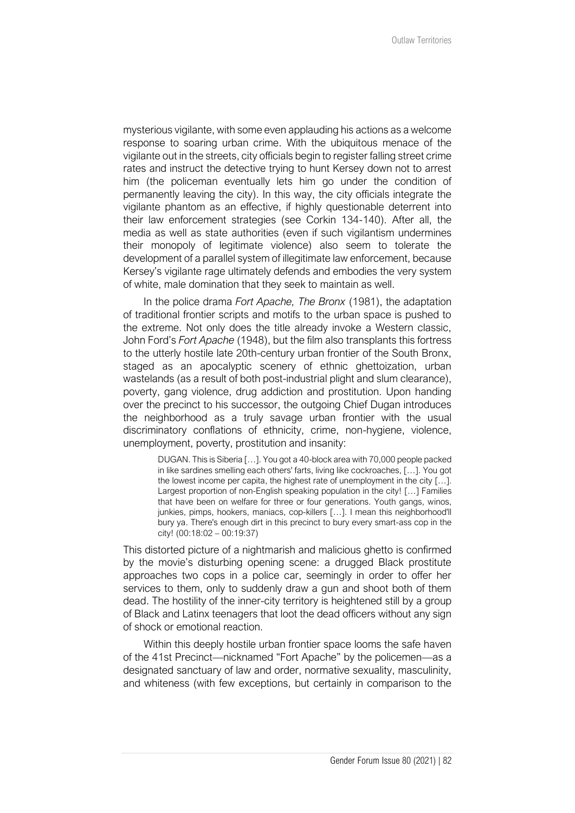mysterious vigilante, with some even applauding his actions as a welcome response to soaring urban crime. With the ubiquitous menace of the vigilante out in the streets, city officials begin to register falling street crime rates and instruct the detective trying to hunt Kersey down not to arrest him (the policeman eventually lets him go under the condition of permanently leaving the city). In this way, the city officials integrate the vigilante phantom as an effective, if highly questionable deterrent into their law enforcement strategies (see Corkin 134-140). After all, the media as well as state authorities (even if such vigilantism undermines their monopoly of legitimate violence) also seem to tolerate the development of a parallel system of illegitimate law enforcement, because Kersey's vigilante rage ultimately defends and embodies the very system of white, male domination that they seek to maintain as well.

In the police drama *Fort Apache, The Bronx* (1981), the adaptation of traditional frontier scripts and motifs to the urban space is pushed to the extreme. Not only does the title already invoke a Western classic, John Ford's *Fort Apache* (1948), but the film also transplants this fortress to the utterly hostile late 20th-century urban frontier of the South Bronx, staged as an apocalyptic scenery of ethnic ghettoization, urban wastelands (as a result of both post-industrial plight and slum clearance), poverty, gang violence, drug addiction and prostitution. Upon handing over the precinct to his successor, the outgoing Chief Dugan introduces the neighborhood as a truly savage urban frontier with the usual discriminatory conflations of ethnicity, crime, non-hygiene, violence, unemployment, poverty, prostitution and insanity:

> DUGAN. This is Siberia […]. You got a 40-block area with 70,000 people packed in like sardines smelling each others' farts, living like cockroaches, […]. You got the lowest income per capita, the highest rate of unemployment in the city […]. Largest proportion of non-English speaking population in the city! […] Families that have been on welfare for three or four generations. Youth gangs, winos, junkies, pimps, hookers, maniacs, cop-killers […]. I mean this neighborhood'll bury ya. There's enough dirt in this precinct to bury every smart-ass cop in the city! (00:18:02 – 00:19:37)

This distorted picture of a nightmarish and malicious ghetto is confirmed by the movie's disturbing opening scene: a drugged Black prostitute approaches two cops in a police car, seemingly in order to offer her services to them, only to suddenly draw a gun and shoot both of them dead. The hostility of the inner-city territory is heightened still by a group of Black and Latinx teenagers that loot the dead officers without any sign of shock or emotional reaction.

Within this deeply hostile urban frontier space looms the safe haven of the 41st Precinct—nicknamed "Fort Apache" by the policemen—as a designated sanctuary of law and order, normative sexuality, masculinity, and whiteness (with few exceptions, but certainly in comparison to the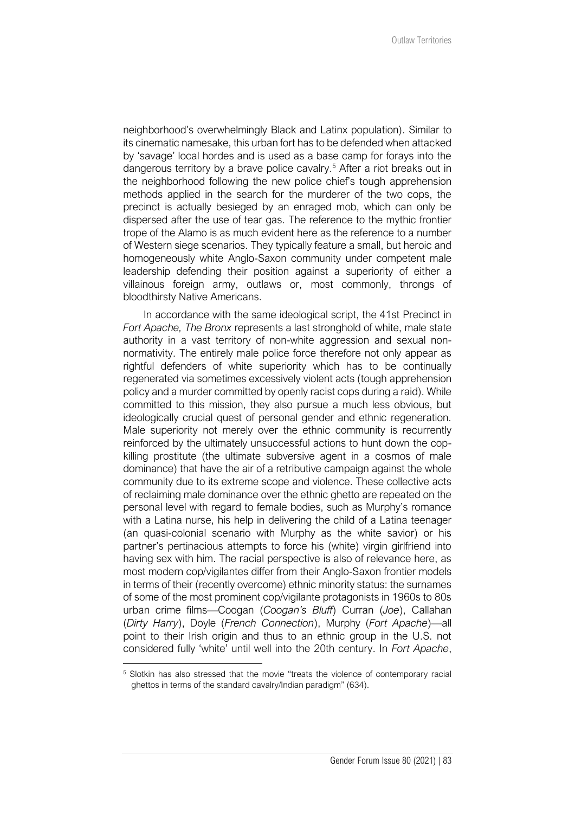neighborhood's overwhelmingly Black and Latinx population). Similar to its cinematic namesake, this urban fort has to be defended when attacked by 'savage' local hordes and is used as a base camp for forays into the dangerous territory by a brave police cavalry.<sup>5</sup> After a riot breaks out in the neighborhood following the new police chief's tough apprehension methods applied in the search for the murderer of the two cops, the precinct is actually besieged by an enraged mob, which can only be dispersed after the use of tear gas. The reference to the mythic frontier trope of the Alamo is as much evident here as the reference to a number of Western siege scenarios. They typically feature a small, but heroic and homogeneously white Anglo-Saxon community under competent male leadership defending their position against a superiority of either a villainous foreign army, outlaws or, most commonly, throngs of bloodthirsty Native Americans.

In accordance with the same ideological script, the 41st Precinct in *Fort Apache, The Bronx* represents a last stronghold of white, male state authority in a vast territory of non-white aggression and sexual nonnormativity. The entirely male police force therefore not only appear as rightful defenders of white superiority which has to be continually regenerated via sometimes excessively violent acts (tough apprehension policy and a murder committed by openly racist cops during a raid). While committed to this mission, they also pursue a much less obvious, but ideologically crucial quest of personal gender and ethnic regeneration. Male superiority not merely over the ethnic community is recurrently reinforced by the ultimately unsuccessful actions to hunt down the copkilling prostitute (the ultimate subversive agent in a cosmos of male dominance) that have the air of a retributive campaign against the whole community due to its extreme scope and violence. These collective acts of reclaiming male dominance over the ethnic ghetto are repeated on the personal level with regard to female bodies, such as Murphy's romance with a Latina nurse, his help in delivering the child of a Latina teenager (an quasi-colonial scenario with Murphy as the white savior) or his partner's pertinacious attempts to force his (white) virgin girlfriend into having sex with him. The racial perspective is also of relevance here, as most modern cop/vigilantes differ from their Anglo-Saxon frontier models in terms of their (recently overcome) ethnic minority status: the surnames of some of the most prominent cop/vigilante protagonists in 1960s to 80s urban crime films—Coogan (*Coogan's Bluff*) Curran (*Joe*), Callahan (*Dirty Harry*), Doyle (*French Connection*), Murphy (*Fort Apache*)—all point to their Irish origin and thus to an ethnic group in the U.S. not considered fully 'white' until well into the 20th century. In *Fort Apache*,

<sup>5</sup> Slotkin has also stressed that the movie "treats the violence of contemporary racial ghettos in terms of the standard cavalry/Indian paradigm" (634).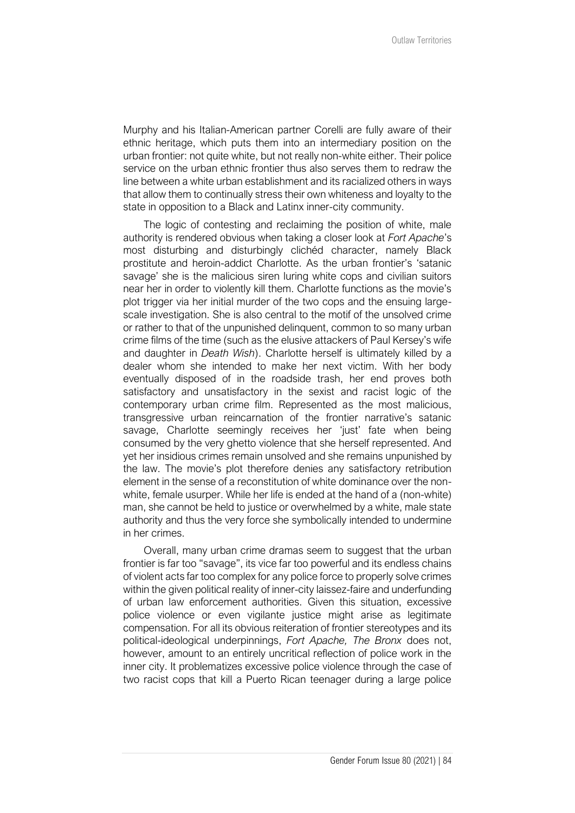Murphy and his Italian-American partner Corelli are fully aware of their ethnic heritage, which puts them into an intermediary position on the urban frontier: not quite white, but not really non-white either. Their police service on the urban ethnic frontier thus also serves them to redraw the line between a white urban establishment and its racialized others in ways that allow them to continually stress their own whiteness and loyalty to the state in opposition to a Black and Latinx inner-city community.

The logic of contesting and reclaiming the position of white, male authority is rendered obvious when taking a closer look at *Fort Apache*'s most disturbing and disturbingly clichéd character, namely Black prostitute and heroin-addict Charlotte. As the urban frontier's 'satanic savage' she is the malicious siren luring white cops and civilian suitors near her in order to violently kill them. Charlotte functions as the movie's plot trigger via her initial murder of the two cops and the ensuing largescale investigation. She is also central to the motif of the unsolved crime or rather to that of the unpunished delinquent, common to so many urban crime films of the time (such as the elusive attackers of Paul Kersey's wife and daughter in *Death Wish*). Charlotte herself is ultimately killed by a dealer whom she intended to make her next victim. With her body eventually disposed of in the roadside trash, her end proves both satisfactory and unsatisfactory in the sexist and racist logic of the contemporary urban crime film. Represented as the most malicious, transgressive urban reincarnation of the frontier narrative's satanic savage. Charlotte seemingly receives her 'just' fate when being consumed by the very ghetto violence that she herself represented. And yet her insidious crimes remain unsolved and she remains unpunished by the law. The movie's plot therefore denies any satisfactory retribution element in the sense of a reconstitution of white dominance over the nonwhite, female usurper. While her life is ended at the hand of a (non-white) man, she cannot be held to justice or overwhelmed by a white, male state authority and thus the very force she symbolically intended to undermine in her crimes.

Overall, many urban crime dramas seem to suggest that the urban frontier is far too "savage", its vice far too powerful and its endless chains of violent acts far too complex for any police force to properly solve crimes within the given political reality of inner-city laissez-faire and underfunding of urban law enforcement authorities. Given this situation, excessive police violence or even vigilante justice might arise as legitimate compensation. For all its obvious reiteration of frontier stereotypes and its political-ideological underpinnings, *Fort Apache, The Bronx* does not, however, amount to an entirely uncritical reflection of police work in the inner city. It problematizes excessive police violence through the case of two racist cops that kill a Puerto Rican teenager during a large police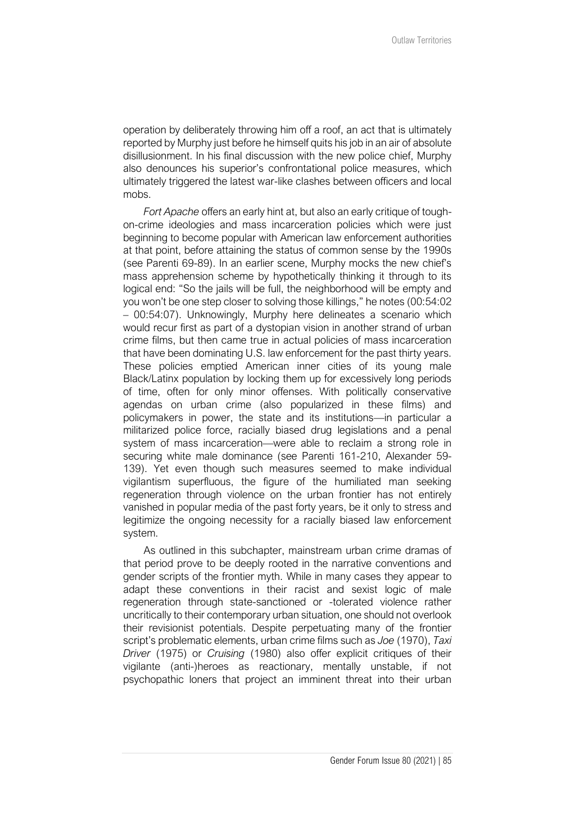operation by deliberately throwing him off a roof, an act that is ultimately reported by Murphy just before he himself quits his job in an air of absolute disillusionment. In his final discussion with the new police chief, Murphy also denounces his superior's confrontational police measures, which ultimately triggered the latest war-like clashes between officers and local mobs.

*Fort Apache* offers an early hint at, but also an early critique of toughon-crime ideologies and mass incarceration policies which were just beginning to become popular with American law enforcement authorities at that point, before attaining the status of common sense by the 1990s (see Parenti 69-89). In an earlier scene, Murphy mocks the new chief's mass apprehension scheme by hypothetically thinking it through to its logical end: "So the jails will be full, the neighborhood will be empty and you won't be one step closer to solving those killings," he notes (00:54:02 – 00:54:07). Unknowingly, Murphy here delineates a scenario which would recur first as part of a dystopian vision in another strand of urban crime films, but then came true in actual policies of mass incarceration that have been dominating U.S. law enforcement for the past thirty years. These policies emptied American inner cities of its young male Black/Latinx population by locking them up for excessively long periods of time, often for only minor offenses. With politically conservative agendas on urban crime (also popularized in these films) and policymakers in power, the state and its institutions—in particular a militarized police force, racially biased drug legislations and a penal system of mass incarceration—were able to reclaim a strong role in securing white male dominance (see Parenti 161-210, Alexander 59- 139). Yet even though such measures seemed to make individual vigilantism superfluous, the figure of the humiliated man seeking regeneration through violence on the urban frontier has not entirely vanished in popular media of the past forty years, be it only to stress and legitimize the ongoing necessity for a racially biased law enforcement system.

As outlined in this subchapter, mainstream urban crime dramas of that period prove to be deeply rooted in the narrative conventions and gender scripts of the frontier myth. While in many cases they appear to adapt these conventions in their racist and sexist logic of male regeneration through state-sanctioned or -tolerated violence rather uncritically to their contemporary urban situation, one should not overlook their revisionist potentials. Despite perpetuating many of the frontier script's problematic elements, urban crime films such as *Joe* (1970), *Taxi Driver* (1975) or *Cruising* (1980) also offer explicit critiques of their vigilante (anti-)heroes as reactionary, mentally unstable, if not psychopathic loners that project an imminent threat into their urban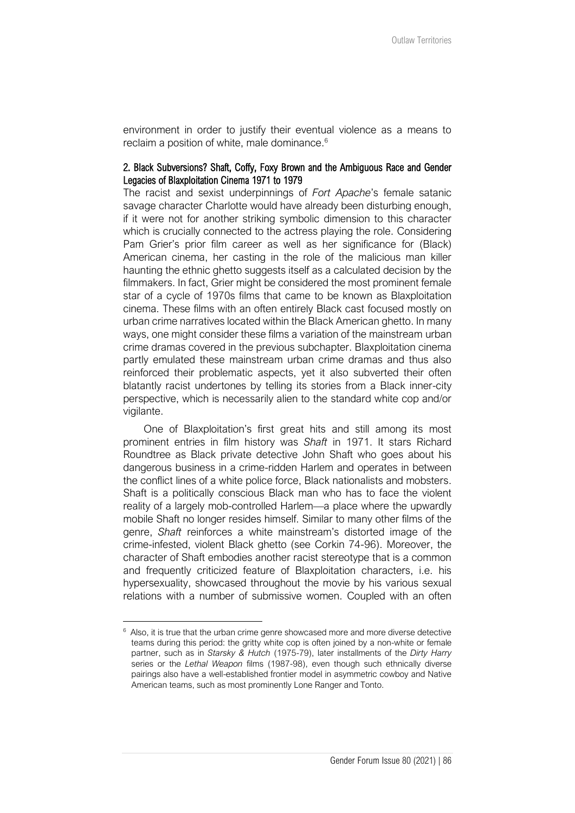environment in order to justify their eventual violence as a means to reclaim a position of white, male dominance.<sup>6</sup>

## 2. Black Subversions? Shaft, Coffy, Foxy Brown and the Ambiguous Race and Gender Legacies of Blaxploitation Cinema 1971 to 1979

The racist and sexist underpinnings of *Fort Apache*'s female satanic savage character Charlotte would have already been disturbing enough, if it were not for another striking symbolic dimension to this character which is crucially connected to the actress playing the role. Considering Pam Grier's prior film career as well as her significance for (Black) American cinema, her casting in the role of the malicious man killer haunting the ethnic ghetto suggests itself as a calculated decision by the filmmakers. In fact, Grier might be considered the most prominent female star of a cycle of 1970s films that came to be known as Blaxploitation cinema. These films with an often entirely Black cast focused mostly on urban crime narratives located within the Black American ghetto. In many ways, one might consider these films a variation of the mainstream urban crime dramas covered in the previous subchapter. Blaxploitation cinema partly emulated these mainstream urban crime dramas and thus also reinforced their problematic aspects, yet it also subverted their often blatantly racist undertones by telling its stories from a Black inner-city perspective, which is necessarily alien to the standard white cop and/or vigilante.

One of Blaxploitation's first great hits and still among its most prominent entries in film history was *Shaft* in 1971. It stars Richard Roundtree as Black private detective John Shaft who goes about his dangerous business in a crime-ridden Harlem and operates in between the conflict lines of a white police force, Black nationalists and mobsters. Shaft is a politically conscious Black man who has to face the violent reality of a largely mob-controlled Harlem—a place where the upwardly mobile Shaft no longer resides himself. Similar to many other films of the genre, *Shaft* reinforces a white mainstream's distorted image of the crime-infested, violent Black ghetto (see Corkin 74-96). Moreover, the character of Shaft embodies another racist stereotype that is a common and frequently criticized feature of Blaxploitation characters, i.e. his hypersexuality, showcased throughout the movie by his various sexual relations with a number of submissive women. Coupled with an often

 $6$  Also, it is true that the urban crime genre showcased more and more diverse detective teams during this period: the gritty white cop is often joined by a non-white or female partner, such as in *Starsky & Hutch* (1975-79), later installments of the *Dirty Harry* series or the *Lethal Weapon* films (1987-98), even though such ethnically diverse pairings also have a well-established frontier model in asymmetric cowboy and Native American teams, such as most prominently Lone Ranger and Tonto.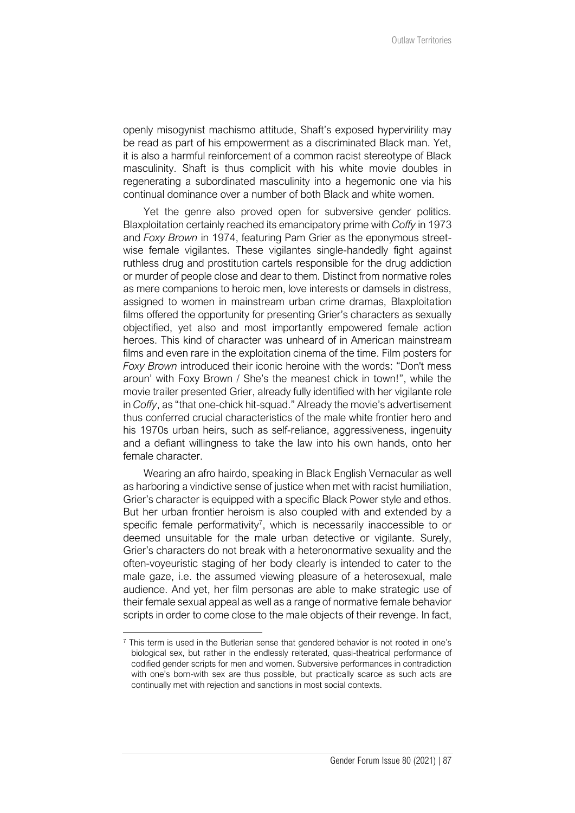openly misogynist machismo attitude, Shaft's exposed hypervirility may be read as part of his empowerment as a discriminated Black man. Yet, it is also a harmful reinforcement of a common racist stereotype of Black masculinity. Shaft is thus complicit with his white movie doubles in regenerating a subordinated masculinity into a hegemonic one via his continual dominance over a number of both Black and white women.

Yet the genre also proved open for subversive gender politics. Blaxploitation certainly reached its emancipatory prime with *Coffy* in 1973 and *Foxy Brown* in 1974, featuring Pam Grier as the eponymous streetwise female vigilantes. These vigilantes single-handedly fight against ruthless drug and prostitution cartels responsible for the drug addiction or murder of people close and dear to them. Distinct from normative roles as mere companions to heroic men, love interests or damsels in distress, assigned to women in mainstream urban crime dramas, Blaxploitation films offered the opportunity for presenting Grier's characters as sexually objectified, yet also and most importantly empowered female action heroes. This kind of character was unheard of in American mainstream films and even rare in the exploitation cinema of the time. Film posters for *Foxy Brown* introduced their iconic heroine with the words: "Don't mess aroun' with Foxy Brown / She's the meanest chick in town!", while the movie trailer presented Grier, already fully identified with her vigilante role in *Coffy*, as "that one-chick hit-squad." Already the movie's advertisement thus conferred crucial characteristics of the male white frontier hero and his 1970s urban heirs, such as self-reliance, aggressiveness, ingenuity and a defiant willingness to take the law into his own hands, onto her female character.

Wearing an afro hairdo, speaking in Black English Vernacular as well as harboring a vindictive sense of justice when met with racist humiliation, Grier's character is equipped with a specific Black Power style and ethos. But her urban frontier heroism is also coupled with and extended by a specific female performativity<sup>7</sup>, which is necessarily inaccessible to or deemed unsuitable for the male urban detective or vigilante. Surely, Grier's characters do not break with a heteronormative sexuality and the often-voyeuristic staging of her body clearly is intended to cater to the male gaze, i.e. the assumed viewing pleasure of a heterosexual, male audience. And yet, her film personas are able to make strategic use of their female sexual appeal as well as a range of normative female behavior scripts in order to come close to the male objects of their revenge. In fact,

 $7$  This term is used in the Butlerian sense that gendered behavior is not rooted in one's biological sex, but rather in the endlessly reiterated, quasi-theatrical performance of codified gender scripts for men and women. Subversive performances in contradiction with one's born-with sex are thus possible, but practically scarce as such acts are continually met with rejection and sanctions in most social contexts.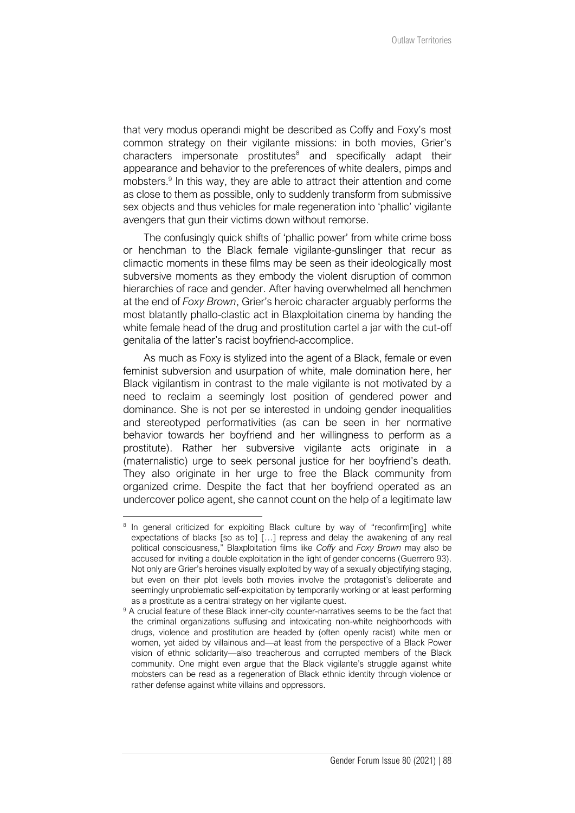that very modus operandi might be described as Coffy and Foxy's most common strategy on their vigilante missions: in both movies, Grier's characters impersonate prostitutes<sup>8</sup> and specifically adapt their appearance and behavior to the preferences of white dealers, pimps and mobsters.<sup>9</sup> In this way, they are able to attract their attention and come as close to them as possible, only to suddenly transform from submissive sex objects and thus vehicles for male regeneration into 'phallic' vigilante avengers that gun their victims down without remorse.

The confusingly quick shifts of 'phallic power' from white crime boss or henchman to the Black female vigilante-gunslinger that recur as climactic moments in these films may be seen as their ideologically most subversive moments as they embody the violent disruption of common hierarchies of race and gender. After having overwhelmed all henchmen at the end of *Foxy Brown*, Grier's heroic character arguably performs the most blatantly phallo-clastic act in Blaxploitation cinema by handing the white female head of the drug and prostitution cartel a jar with the cut-off genitalia of the latter's racist boyfriend-accomplice.

As much as Foxy is stylized into the agent of a Black, female or even feminist subversion and usurpation of white, male domination here, her Black vigilantism in contrast to the male vigilante is not motivated by a need to reclaim a seemingly lost position of gendered power and dominance. She is not per se interested in undoing gender inequalities and stereotyped performativities (as can be seen in her normative behavior towards her boyfriend and her willingness to perform as a prostitute). Rather her subversive vigilante acts originate in a (maternalistic) urge to seek personal justice for her boyfriend's death. They also originate in her urge to free the Black community from organized crime. Despite the fact that her boyfriend operated as an undercover police agent, she cannot count on the help of a legitimate law

<sup>&</sup>lt;sup>8</sup> In general criticized for exploiting Black culture by way of "reconfirm[ing] white expectations of blacks [so as to] […] repress and delay the awakening of any real political consciousness," Blaxploitation films like *Coffy* and *Foxy Brown* may also be accused for inviting a double exploitation in the light of gender concerns (Guerrero 93). Not only are Grier's heroines visually exploited by way of a sexually objectifying staging, but even on their plot levels both movies involve the protagonist's deliberate and seemingly unproblematic self-exploitation by temporarily working or at least performing as a prostitute as a central strategy on her vigilante quest.

<sup>&</sup>lt;sup>9</sup> A crucial feature of these Black inner-city counter-narratives seems to be the fact that the criminal organizations suffusing and intoxicating non-white neighborhoods with drugs, violence and prostitution are headed by (often openly racist) white men or women, yet aided by villainous and—at least from the perspective of a Black Power vision of ethnic solidarity—also treacherous and corrupted members of the Black community. One might even argue that the Black vigilante's struggle against white mobsters can be read as a regeneration of Black ethnic identity through violence or rather defense against white villains and oppressors.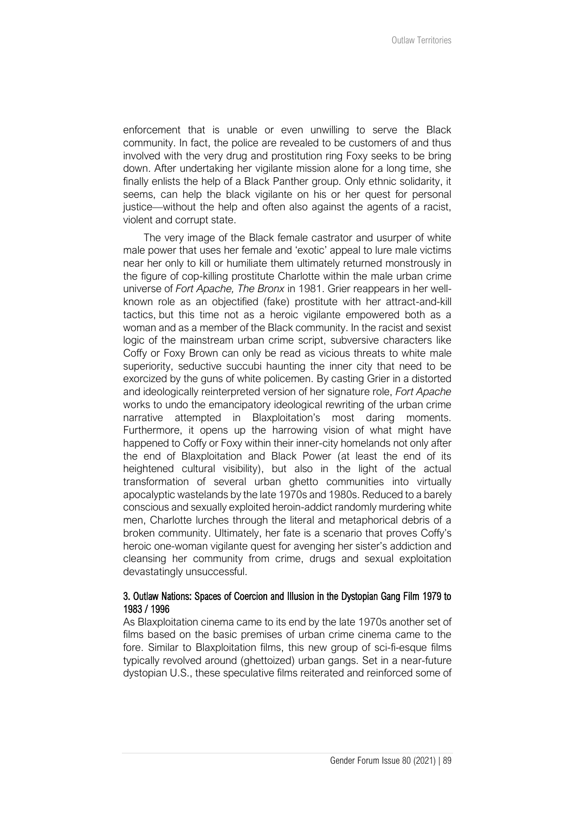enforcement that is unable or even unwilling to serve the Black community. In fact, the police are revealed to be customers of and thus involved with the very drug and prostitution ring Foxy seeks to be bring down. After undertaking her vigilante mission alone for a long time, she finally enlists the help of a Black Panther group. Only ethnic solidarity, it seems, can help the black vigilante on his or her quest for personal justice—without the help and often also against the agents of a racist, violent and corrupt state.

The very image of the Black female castrator and usurper of white male power that uses her female and 'exotic' appeal to lure male victims near her only to kill or humiliate them ultimately returned monstrously in the figure of cop-killing prostitute Charlotte within the male urban crime universe of *Fort Apache, The Bronx* in 1981. Grier reappears in her wellknown role as an objectified (fake) prostitute with her attract-and-kill tactics, but this time not as a heroic vigilante empowered both as a woman and as a member of the Black community. In the racist and sexist logic of the mainstream urban crime script, subversive characters like Coffy or Foxy Brown can only be read as vicious threats to white male superiority, seductive succubi haunting the inner city that need to be exorcized by the guns of white policemen. By casting Grier in a distorted and ideologically reinterpreted version of her signature role, *Fort Apache* works to undo the emancipatory ideological rewriting of the urban crime narrative attempted in Blaxploitation's most daring moments. Furthermore, it opens up the harrowing vision of what might have happened to Coffy or Foxy within their inner-city homelands not only after the end of Blaxploitation and Black Power (at least the end of its heightened cultural visibility), but also in the light of the actual transformation of several urban ghetto communities into virtually apocalyptic wastelands by the late 1970s and 1980s. Reduced to a barely conscious and sexually exploited heroin-addict randomly murdering white men, Charlotte lurches through the literal and metaphorical debris of a broken community. Ultimately, her fate is a scenario that proves Coffy's heroic one-woman vigilante quest for avenging her sister's addiction and cleansing her community from crime, drugs and sexual exploitation devastatingly unsuccessful.

# 3. Outlaw Nations: Spaces of Coercion and Illusion in the Dystopian Gang Film 1979 to 1983 / 1996

As Blaxploitation cinema came to its end by the late 1970s another set of films based on the basic premises of urban crime cinema came to the fore. Similar to Blaxploitation films, this new group of sci-fi-esque films typically revolved around (ghettoized) urban gangs. Set in a near-future dystopian U.S., these speculative films reiterated and reinforced some of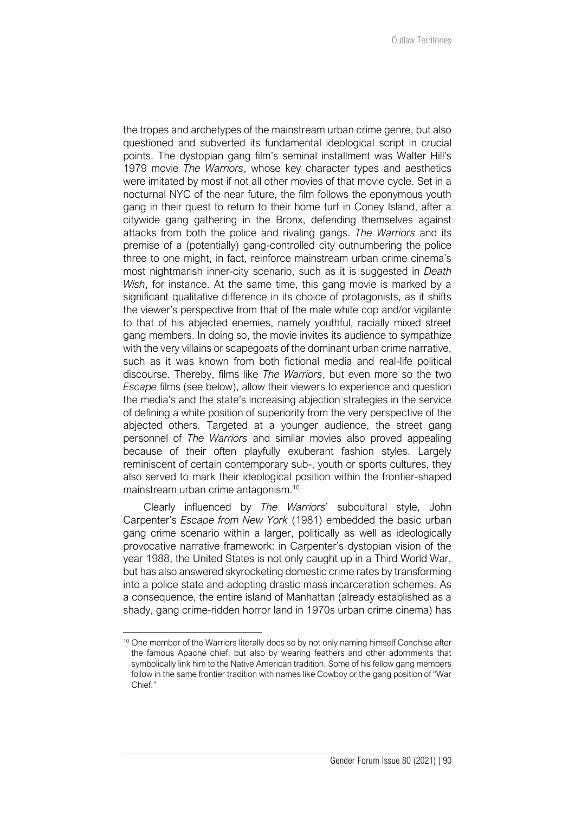the tropes and archetypes of the mainstream urban crime genre, but also questioned and subverted its fundamental ideological script in crucial points. The dystopian gang film's seminal installment was Walter Hill's 1979 movie *The Warriors*, whose key character types and aesthetics were imitated by most if not all other movies of that movie cycle. Set in a nocturnal NYC of the near future, the film follows the eponymous youth gang in their quest to return to their home turf in Coney Island, after a citywide gang gathering in the Bronx, defending themselves against attacks from both the police and rivaling gangs. *The Warriors* and its premise of a (potentially) gang-controlled city outnumbering the police three to one might, in fact, reinforce mainstream urban crime cinema's most nightmarish inner-city scenario, such as it is suggested in *Death Wish*, for instance. At the same time, this gang movie is marked by a significant qualitative difference in its choice of protagonists, as it shifts the viewer's perspective from that of the male white cop and/or vigilante to that of his abjected enemies, namely youthful, racially mixed street gang members. In doing so, the movie invites its audience to sympathize with the very villains or scapegoats of the dominant urban crime narrative, such as it was known from both fictional media and real-life political discourse. Thereby, films like *The Warriors*, but even more so the two *Escape* films (see below), allow their viewers to experience and question the media's and the state's increasing abjection strategies in the service of defining a white position of superiority from the very perspective of the abjected others. Targeted at a younger audience, the street gang personnel of *The Warriors* and similar movies also proved appealing because of their often playfully exuberant fashion styles. Largely reminiscent of certain contemporary sub-, youth or sports cultures, they also served to mark their ideological position within the frontier-shaped mainstream urban crime antagonism.<sup>10</sup>

Clearly influenced by *The Warriors*' subcultural style, John Carpenter's *Escape from New York* (1981) embedded the basic urban gang crime scenario within a larger, politically as well as ideologically provocative narrative framework: in Carpenter's dystopian vision of the year 1988, the United States is not only caught up in a Third World War, but has also answered skyrocketing domestic crime rates by transforming into a police state and adopting drastic mass incarceration schemes. As a consequence, the entire island of Manhattan (already established as a shady, gang crime-ridden horror land in 1970s urban crime cinema) has

<sup>&</sup>lt;sup>10</sup> One member of the Warriors literally does so by not only naming himself Conchise after the famous Apache chief, but also by wearing feathers and other adornments that symbolically link him to the Native American tradition. Some of his fellow gang members follow in the same frontier tradition with names like Cowboy or the gang position of "War Chief."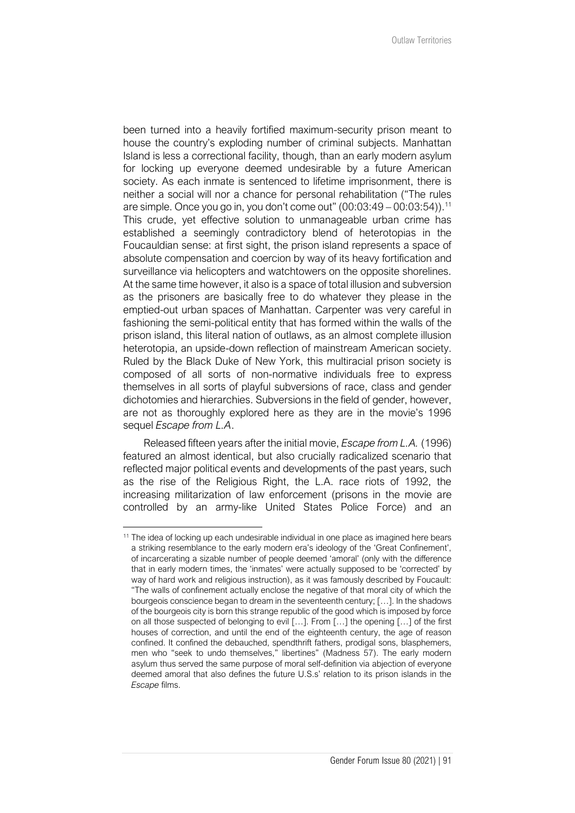been turned into a heavily fortified maximum-security prison meant to house the country's exploding number of criminal subjects. Manhattan Island is less a correctional facility, though, than an early modern asylum for locking up everyone deemed undesirable by a future American society. As each inmate is sentenced to lifetime imprisonment, there is neither a social will nor a chance for personal rehabilitation ("The rules are simple. Once you go in, you don't come out"  $(00:03:49 - 00:03:54)$ . <sup>11</sup> This crude, yet effective solution to unmanageable urban crime has established a seemingly contradictory blend of heterotopias in the Foucauldian sense: at first sight, the prison island represents a space of absolute compensation and coercion by way of its heavy fortification and surveillance via helicopters and watchtowers on the opposite shorelines. At the same time however, it also is a space of total illusion and subversion as the prisoners are basically free to do whatever they please in the emptied-out urban spaces of Manhattan. Carpenter was very careful in fashioning the semi-political entity that has formed within the walls of the prison island, this literal nation of outlaws, as an almost complete illusion heterotopia, an upside-down reflection of mainstream American society. Ruled by the Black Duke of New York, this multiracial prison society is composed of all sorts of non-normative individuals free to express themselves in all sorts of playful subversions of race, class and gender dichotomies and hierarchies. Subversions in the field of gender, however, are not as thoroughly explored here as they are in the movie's 1996 sequel *Escape from L.A*.

Released fifteen years after the initial movie, *Escape from L.A.* (1996) featured an almost identical, but also crucially radicalized scenario that reflected major political events and developments of the past years, such as the rise of the Religious Right, the L.A. race riots of 1992, the increasing militarization of law enforcement (prisons in the movie are controlled by an army-like United States Police Force) and an

<sup>&</sup>lt;sup>11</sup> The idea of locking up each undesirable individual in one place as imagined here bears a striking resemblance to the early modern era's ideology of the 'Great Confinement', of incarcerating a sizable number of people deemed 'amoral' (only with the difference that in early modern times, the 'inmates' were actually supposed to be 'corrected' by way of hard work and religious instruction), as it was famously described by Foucault: "The walls of confinement actually enclose the negative of that moral city of which the bourgeois conscience began to dream in the seventeenth century; […]. In the shadows of the bourgeois city is born this strange republic of the good which is imposed by force on all those suspected of belonging to evil […]. From […] the opening […] of the first houses of correction, and until the end of the eighteenth century, the age of reason confined. It confined the debauched, spendthrift fathers, prodigal sons, blasphemers, men who "seek to undo themselves," libertines" (Madness 57). The early modern asylum thus served the same purpose of moral self-definition via abjection of everyone deemed amoral that also defines the future U.S.s' relation to its prison islands in the *Escape* films.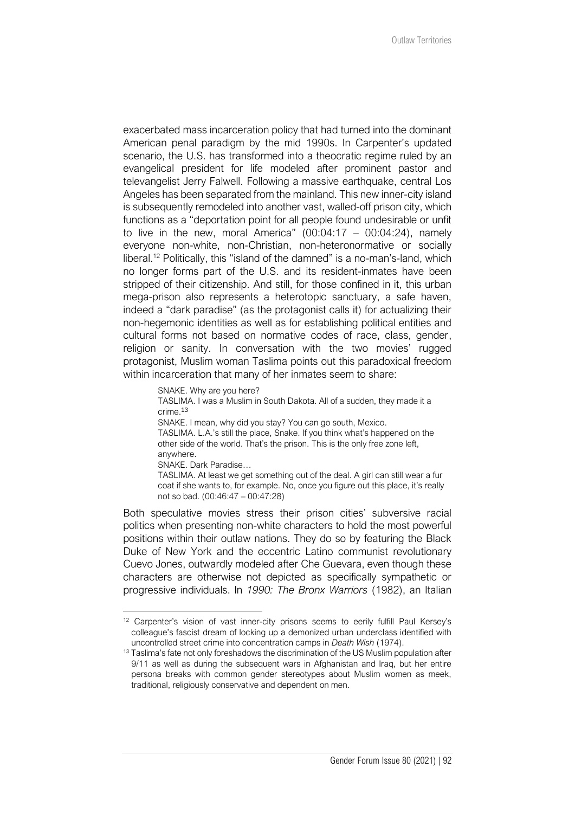exacerbated mass incarceration policy that had turned into the dominant American penal paradigm by the mid 1990s. In Carpenter's updated scenario, the U.S. has transformed into a theocratic regime ruled by an evangelical president for life modeled after prominent pastor and televangelist Jerry Falwell. Following a massive earthquake, central Los Angeles has been separated from the mainland. This new inner-city island is subsequently remodeled into another vast, walled-off prison city, which functions as a "deportation point for all people found undesirable or unfit to live in the new, moral America"  $(00:04:17 - 00:04:24)$ , namely everyone non-white, non-Christian, non-heteronormative or socially liberal.<sup>12</sup> Politically, this "island of the damned" is a no-man's-land, which no longer forms part of the U.S. and its resident-inmates have been stripped of their citizenship. And still, for those confined in it, this urban mega-prison also represents a heterotopic sanctuary, a safe haven, indeed a "dark paradise" (as the protagonist calls it) for actualizing their non-hegemonic identities as well as for establishing political entities and cultural forms not based on normative codes of race, class, gender, religion or sanity. In conversation with the two movies' rugged protagonist, Muslim woman Taslima points out this paradoxical freedom within incarceration that many of her inmates seem to share:

> SNAKE. Why are you here? TASLIMA. I was a Muslim in South Dakota. All of a sudden, they made it a crime.<sup>13</sup> SNAKE. I mean, why did you stay? You can go south, Mexico. TASLIMA. L.A.'s still the place, Snake. If you think what's happened on the other side of the world. That's the prison. This is the only free zone left, anywhere. SNAKE. Dark Paradise… TASLIMA. At least we get something out of the deal. A girl can still wear a fur coat if she wants to, for example. No, once you figure out this place, it's really

Both speculative movies stress their prison cities' subversive racial politics when presenting non-white characters to hold the most powerful positions within their outlaw nations. They do so by featuring the Black Duke of New York and the eccentric Latino communist revolutionary Cuevo Jones, outwardly modeled after Che Guevara, even though these characters are otherwise not depicted as specifically sympathetic or progressive individuals. In *1990: The Bronx Warriors* (1982), an Italian

not so bad. (00:46:47 – 00:47:28)

<sup>&</sup>lt;sup>12</sup> Carpenter's vision of vast inner-city prisons seems to eerily fulfill Paul Kersey's colleague's fascist dream of locking up a demonized urban underclass identified with uncontrolled street crime into concentration camps in *Death Wish* (1974).

<sup>&</sup>lt;sup>13</sup> Taslima's fate not only foreshadows the discrimination of the US Muslim population after 9/11 as well as during the subsequent wars in Afghanistan and Iraq, but her entire persona breaks with common gender stereotypes about Muslim women as meek, traditional, religiously conservative and dependent on men.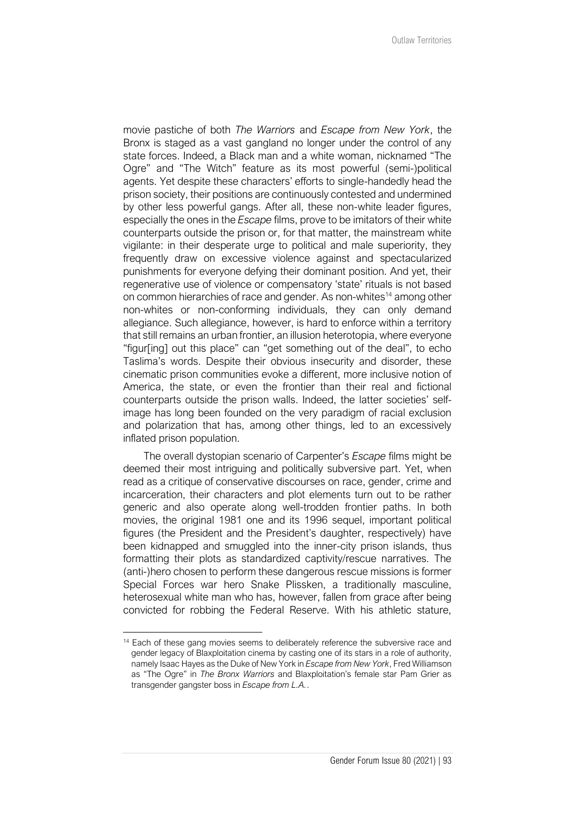movie pastiche of both *The Warriors* and *Escape from New York*, the Bronx is staged as a vast gangland no longer under the control of any state forces. Indeed, a Black man and a white woman, nicknamed "The Ogre" and "The Witch" feature as its most powerful (semi-)political agents. Yet despite these characters' efforts to single-handedly head the prison society, their positions are continuously contested and undermined by other less powerful gangs. After all, these non-white leader figures, especially the ones in the *Escape* films, prove to be imitators of their white counterparts outside the prison or, for that matter, the mainstream white vigilante: in their desperate urge to political and male superiority, they frequently draw on excessive violence against and spectacularized punishments for everyone defying their dominant position. And yet, their regenerative use of violence or compensatory 'state' rituals is not based on common hierarchies of race and gender. As non-whites<sup>14</sup> among other non-whites or non-conforming individuals, they can only demand allegiance. Such allegiance, however, is hard to enforce within a territory that still remains an urban frontier, an illusion heterotopia, where everyone "figur[ing] out this place" can "get something out of the deal", to echo Taslima's words. Despite their obvious insecurity and disorder, these cinematic prison communities evoke a different, more inclusive notion of America, the state, or even the frontier than their real and fictional counterparts outside the prison walls. Indeed, the latter societies' selfimage has long been founded on the very paradigm of racial exclusion and polarization that has, among other things, led to an excessively inflated prison population.

The overall dystopian scenario of Carpenter's *Escape* films might be deemed their most intriguing and politically subversive part. Yet, when read as a critique of conservative discourses on race, gender, crime and incarceration, their characters and plot elements turn out to be rather generic and also operate along well-trodden frontier paths. In both movies, the original 1981 one and its 1996 sequel, important political figures (the President and the President's daughter, respectively) have been kidnapped and smuggled into the inner-city prison islands, thus formatting their plots as standardized captivity/rescue narratives. The (anti-)hero chosen to perform these dangerous rescue missions is former Special Forces war hero Snake Plissken, a traditionally masculine, heterosexual white man who has, however, fallen from grace after being convicted for robbing the Federal Reserve. With his athletic stature,

<sup>&</sup>lt;sup>14</sup> Each of these gang movies seems to deliberately reference the subversive race and gender legacy of Blaxploitation cinema by casting one of its stars in a role of authority, namely Isaac Hayes as the Duke of New York in *Escape from New York*, Fred Williamson as "The Ogre" in *The Bronx Warriors* and Blaxploitation's female star Pam Grier as transgender gangster boss in *Escape from L.A.*.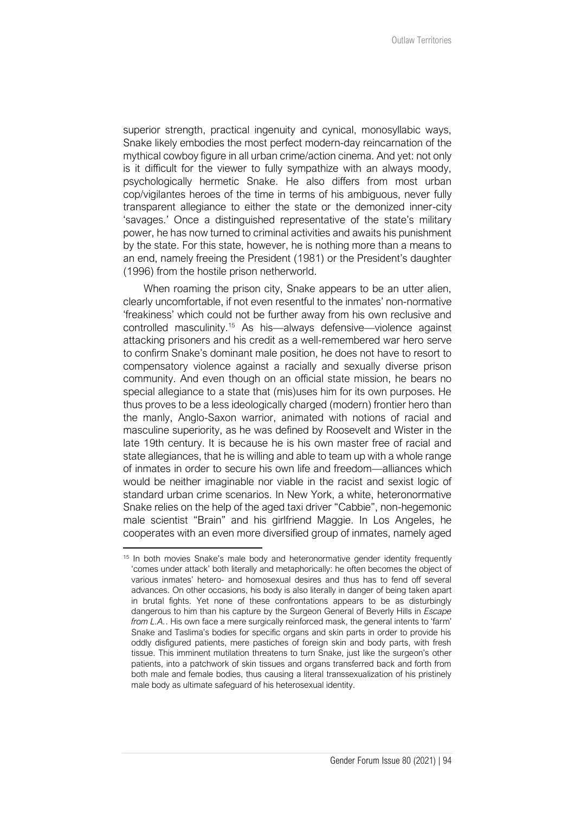superior strength, practical ingenuity and cynical, monosyllabic ways, Snake likely embodies the most perfect modern-day reincarnation of the mythical cowboy figure in all urban crime/action cinema. And yet: not only is it difficult for the viewer to fully sympathize with an always moody, psychologically hermetic Snake. He also differs from most urban cop/vigilantes heroes of the time in terms of his ambiguous, never fully transparent allegiance to either the state or the demonized inner-city 'savages.' Once a distinguished representative of the state's military power, he has now turned to criminal activities and awaits his punishment by the state. For this state, however, he is nothing more than a means to an end, namely freeing the President (1981) or the President's daughter (1996) from the hostile prison netherworld.

When roaming the prison city, Snake appears to be an utter alien, clearly uncomfortable, if not even resentful to the inmates' non-normative 'freakiness' which could not be further away from his own reclusive and controlled masculinity.<sup>15</sup> As his—always defensive—violence against attacking prisoners and his credit as a well-remembered war hero serve to confirm Snake's dominant male position, he does not have to resort to compensatory violence against a racially and sexually diverse prison community. And even though on an official state mission, he bears no special allegiance to a state that (mis)uses him for its own purposes. He thus proves to be a less ideologically charged (modern) frontier hero than the manly, Anglo-Saxon warrior, animated with notions of racial and masculine superiority, as he was defined by Roosevelt and Wister in the late 19th century. It is because he is his own master free of racial and state allegiances, that he is willing and able to team up with a whole range of inmates in order to secure his own life and freedom—alliances which would be neither imaginable nor viable in the racist and sexist logic of standard urban crime scenarios. In New York, a white, heteronormative Snake relies on the help of the aged taxi driver "Cabbie", non-hegemonic male scientist "Brain" and his girlfriend Maggie. In Los Angeles, he cooperates with an even more diversified group of inmates, namely aged

 $15$  In both movies Snake's male body and heteronormative gender identity frequently 'comes under attack' both literally and metaphorically: he often becomes the object of various inmates' hetero- and homosexual desires and thus has to fend off several advances. On other occasions, his body is also literally in danger of being taken apart in brutal fights. Yet none of these confrontations appears to be as disturbingly dangerous to him than his capture by the Surgeon General of Beverly Hills in *Escape from L.A.*. His own face a mere surgically reinforced mask, the general intents to 'farm' Snake and Taslima's bodies for specific organs and skin parts in order to provide his oddly disfigured patients, mere pastiches of foreign skin and body parts, with fresh tissue. This imminent mutilation threatens to turn Snake, just like the surgeon's other patients, into a patchwork of skin tissues and organs transferred back and forth from both male and female bodies, thus causing a literal transsexualization of his pristinely male body as ultimate safeguard of his heterosexual identity.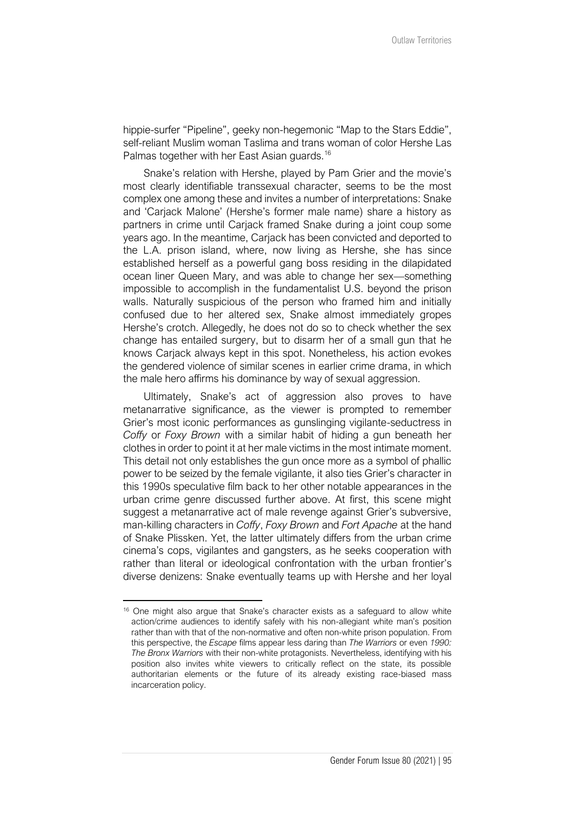hippie-surfer "Pipeline", geeky non-hegemonic "Map to the Stars Eddie", self-reliant Muslim woman Taslima and trans woman of color Hershe Las Palmas together with her East Asian guards.<sup>16</sup>

Snake's relation with Hershe, played by Pam Grier and the movie's most clearly identifiable transsexual character, seems to be the most complex one among these and invites a number of interpretations: Snake and 'Carjack Malone' (Hershe's former male name) share a history as partners in crime until Carjack framed Snake during a joint coup some years ago. In the meantime, Carjack has been convicted and deported to the L.A. prison island, where, now living as Hershe, she has since established herself as a powerful gang boss residing in the dilapidated ocean liner Queen Mary, and was able to change her sex—something impossible to accomplish in the fundamentalist U.S. beyond the prison walls. Naturally suspicious of the person who framed him and initially confused due to her altered sex, Snake almost immediately gropes Hershe's crotch. Allegedly, he does not do so to check whether the sex change has entailed surgery, but to disarm her of a small gun that he knows Carjack always kept in this spot. Nonetheless, his action evokes the gendered violence of similar scenes in earlier crime drama, in which the male hero affirms his dominance by way of sexual aggression.

Ultimately, Snake's act of aggression also proves to have metanarrative significance, as the viewer is prompted to remember Grier's most iconic performances as gunslinging vigilante-seductress in *Coffy* or *Foxy Brown* with a similar habit of hiding a gun beneath her clothes in order to point it at her male victims in the most intimate moment. This detail not only establishes the gun once more as a symbol of phallic power to be seized by the female vigilante, it also ties Grier's character in this 1990s speculative film back to her other notable appearances in the urban crime genre discussed further above. At first, this scene might suggest a metanarrative act of male revenge against Grier's subversive, man-killing characters in *Coffy*, *Foxy Brown* and *Fort Apache* at the hand of Snake Plissken. Yet, the latter ultimately differs from the urban crime cinema's cops, vigilantes and gangsters, as he seeks cooperation with rather than literal or ideological confrontation with the urban frontier's diverse denizens: Snake eventually teams up with Hershe and her loyal

<sup>&</sup>lt;sup>16</sup> One might also argue that Snake's character exists as a safeguard to allow white action/crime audiences to identify safely with his non-allegiant white man's position rather than with that of the non-normative and often non-white prison population. From this perspective, the *Escape* films appear less daring than *The Warriors* or even *1990: The Bronx Warriors* with their non-white protagonists. Nevertheless, identifying with his position also invites white viewers to critically reflect on the state, its possible authoritarian elements or the future of its already existing race-biased mass incarceration policy.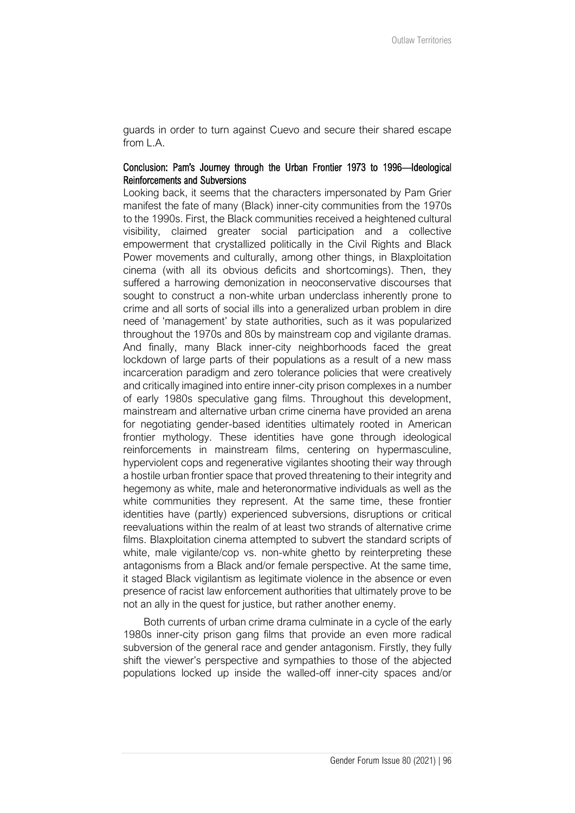guards in order to turn against Cuevo and secure their shared escape from L.A.

# Conclusion: Pam's Journey through the Urban Frontier 1973 to 1996—Ideological Reinforcements and Subversions

Looking back, it seems that the characters impersonated by Pam Grier manifest the fate of many (Black) inner-city communities from the 1970s to the 1990s. First, the Black communities received a heightened cultural visibility, claimed greater social participation and a collective empowerment that crystallized politically in the Civil Rights and Black Power movements and culturally, among other things, in Blaxploitation cinema (with all its obvious deficits and shortcomings). Then, they suffered a harrowing demonization in neoconservative discourses that sought to construct a non-white urban underclass inherently prone to crime and all sorts of social ills into a generalized urban problem in dire need of 'management' by state authorities, such as it was popularized throughout the 1970s and 80s by mainstream cop and vigilante dramas. And finally, many Black inner-city neighborhoods faced the great lockdown of large parts of their populations as a result of a new mass incarceration paradigm and zero tolerance policies that were creatively and critically imagined into entire inner-city prison complexes in a number of early 1980s speculative gang films. Throughout this development, mainstream and alternative urban crime cinema have provided an arena for negotiating gender-based identities ultimately rooted in American frontier mythology. These identities have gone through ideological reinforcements in mainstream films, centering on hypermasculine, hyperviolent cops and regenerative vigilantes shooting their way through a hostile urban frontier space that proved threatening to their integrity and hegemony as white, male and heteronormative individuals as well as the white communities they represent. At the same time, these frontier identities have (partly) experienced subversions, disruptions or critical reevaluations within the realm of at least two strands of alternative crime films. Blaxploitation cinema attempted to subvert the standard scripts of white, male vigilante/cop vs. non-white ghetto by reinterpreting these antagonisms from a Black and/or female perspective. At the same time, it staged Black vigilantism as legitimate violence in the absence or even presence of racist law enforcement authorities that ultimately prove to be not an ally in the quest for justice, but rather another enemy.

Both currents of urban crime drama culminate in a cycle of the early 1980s inner-city prison gang films that provide an even more radical subversion of the general race and gender antagonism. Firstly, they fully shift the viewer's perspective and sympathies to those of the abjected populations locked up inside the walled-off inner-city spaces and/or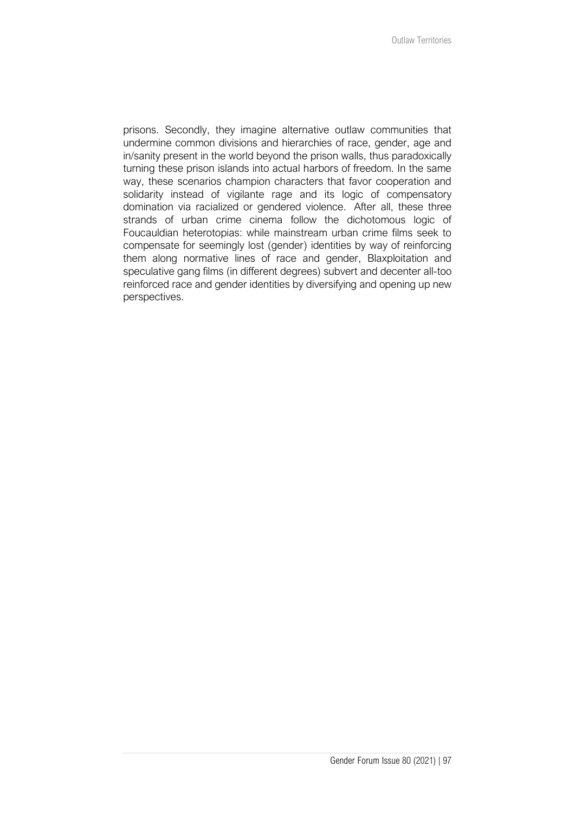prisons. Secondly, they imagine alternative outlaw communities that undermine common divisions and hierarchies of race, gender, age and in/sanity present in the world beyond the prison walls, thus paradoxically turning these prison islands into actual harbors of freedom. In the same way, these scenarios champion characters that favor cooperation and solidarity instead of vigilante rage and its logic of compensatory domination via racialized or gendered violence. After all, these three strands of urban crime cinema follow the dichotomous logic of Foucauldian heterotopias: while mainstream urban crime films seek to compensate for seemingly lost (gender) identities by way of reinforcing them along normative lines of race and gender, Blaxploitation and speculative gang films (in different degrees) subvert and decenter all-too reinforced race and gender identities by diversifying and opening up new perspectives.